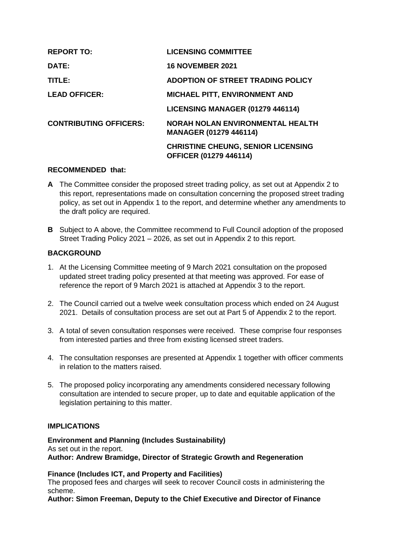| <b>REPORT TO:</b>             | <b>LICENSING COMMITTEE</b>                                                 |
|-------------------------------|----------------------------------------------------------------------------|
| DATE:                         | <b>16 NOVEMBER 2021</b>                                                    |
| TITLE:                        | <b>ADOPTION OF STREET TRADING POLICY</b>                                   |
| <b>LEAD OFFICER:</b>          | <b>MICHAEL PITT, ENVIRONMENT AND</b>                                       |
|                               | LICENSING MANAGER (01279 446114)                                           |
| <b>CONTRIBUTING OFFICERS:</b> | NORAH NOLAN ENVIRONMENTAL HEALTH<br><b>MANAGER (01279 446114)</b>          |
|                               | <b>CHRISTINE CHEUNG, SENIOR LICENSING</b><br><b>OFFICER (01279 446114)</b> |

#### **RECOMMENDED that:**

- **A** The Committee consider the proposed street trading policy, as set out at Appendix 2 to this report, representations made on consultation concerning the proposed street trading policy, as set out in Appendix 1 to the report, and determine whether any amendments to the draft policy are required.
- **B** Subject to A above, the Committee recommend to Full Council adoption of the proposed Street Trading Policy 2021 – 2026, as set out in Appendix 2 to this report.

# **BACKGROUND**

- 1. At the Licensing Committee meeting of 9 March 2021 consultation on the proposed updated street trading policy presented at that meeting was approved. For ease of reference the report of 9 March 2021 is attached at Appendix 3 to the report.
- 2. The Council carried out a twelve week consultation process which ended on 24 August 2021. Details of consultation process are set out at Part 5 of Appendix 2 to the report.
- 3. A total of seven consultation responses were received. These comprise four responses from interested parties and three from existing licensed street traders.
- 4. The consultation responses are presented at Appendix 1 together with officer comments in relation to the matters raised.
- 5. The proposed policy incorporating any amendments considered necessary following consultation are intended to secure proper, up to date and equitable application of the legislation pertaining to this matter.

## **IMPLICATIONS**

**Environment and Planning (Includes Sustainability)** As set out in the report. **Author: Andrew Bramidge, Director of Strategic Growth and Regeneration** 

**Finance (Includes ICT, and Property and Facilities)** The proposed fees and charges will seek to recover Council costs in administering the scheme.

**Author: Simon Freeman, Deputy to the Chief Executive and Director of Finance**